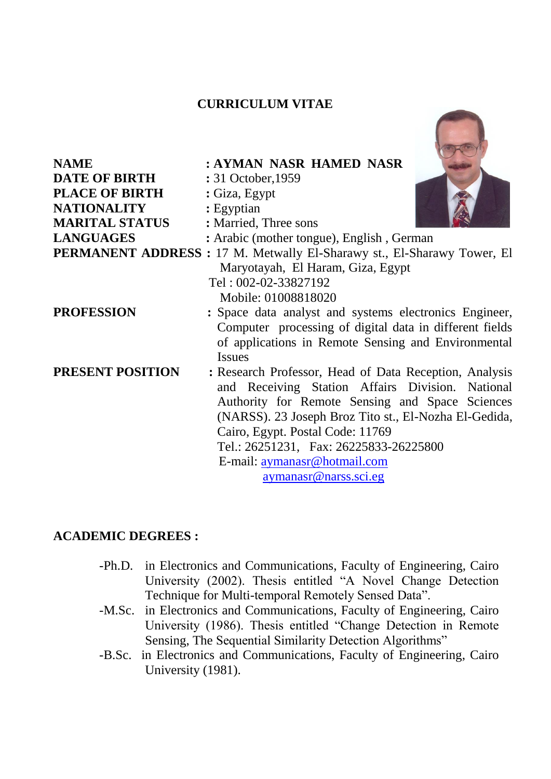# **CURRICULUM VITAE**

| <b>NAME</b>           | : AYMAN NASR HAMED NASR                                                 |
|-----------------------|-------------------------------------------------------------------------|
| <b>DATE OF BIRTH</b>  | : 31 October, 1959                                                      |
| <b>PLACE OF BIRTH</b> | : Giza, Egypt                                                           |
| <b>NATIONALITY</b>    | : Egyptian                                                              |
| <b>MARITAL STATUS</b> | : Married, Three sons                                                   |
| <b>LANGUAGES</b>      | : Arabic (mother tongue), English, German                               |
|                       | PERMANENT ADDRESS : 17 M. Metwally El-Sharawy st., El-Sharawy Tower, El |
|                       | Maryotayah, El Haram, Giza, Egypt                                       |
|                       | Tel: 002-02-33827192                                                    |
|                       | Mobile: 01008818020                                                     |
| <b>PROFESSION</b>     | : Space data analyst and systems electronics Engineer,                  |
|                       | Computer processing of digital data in different fields                 |
|                       | of applications in Remote Sensing and Environmental                     |
|                       | <b>Issues</b>                                                           |
| PRESENT POSITION      | : Research Professor, Head of Data Reception, Analysis                  |
|                       | and Receiving Station Affairs Division. National                        |
|                       | Authority for Remote Sensing and Space Sciences                         |
|                       | (NARSS). 23 Joseph Broz Tito st., El-Nozha El-Gedida,                   |
|                       | Cairo, Egypt. Postal Code: 11769                                        |
|                       |                                                                         |
|                       | Tel.: 26251231, Fax: 26225833-26225800                                  |
|                       | E-mail: aymanasr@hotmail.com                                            |
|                       | aymanasr@narss.sci.eg                                                   |

### **ACADEMIC DEGREES :**

- -Ph.D. in Electronics and Communications, Faculty of Engineering, Cairo University (2002). Thesis entitled "A Novel Change Detection Technique for Multi-temporal Remotely Sensed Data".
- -M.Sc. in Electronics and Communications, Faculty of Engineering, Cairo University (1986). Thesis entitled "Change Detection in Remote Sensing, The Sequential Similarity Detection Algorithms"
- -B.Sc. in Electronics and Communications, Faculty of Engineering, Cairo University (1981).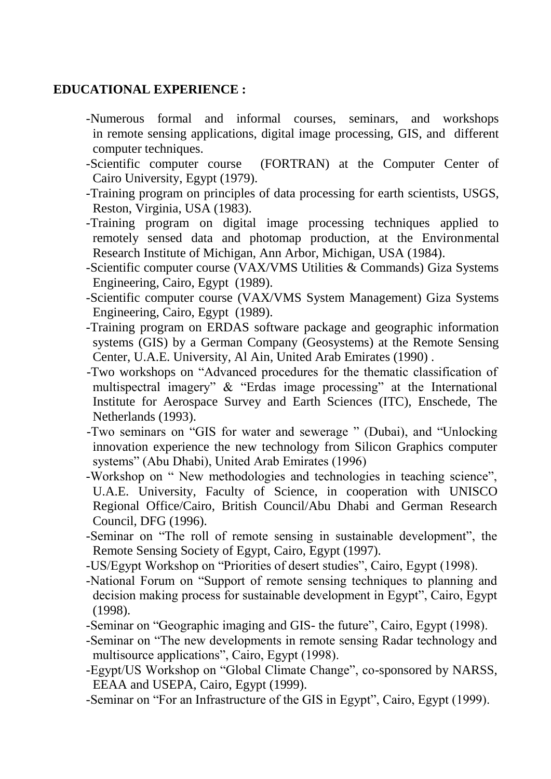## **EDUCATIONAL EXPERIENCE :**

- -Numerous formal and informal courses, seminars, and workshops in remote sensing applications, digital image processing, GIS, and different computer techniques.
- -Scientific computer course (FORTRAN) at the Computer Center of Cairo University, Egypt (1979).
- -Training program on principles of data processing for earth scientists, USGS, Reston, Virginia, USA (1983).
- -Training program on digital image processing techniques applied to remotely sensed data and photomap production, at the Environmental Research Institute of Michigan, Ann Arbor, Michigan, USA (1984).
- -Scientific computer course (VAX/VMS Utilities & Commands) Giza Systems Engineering, Cairo, Egypt (1989).
- -Scientific computer course (VAX/VMS System Management) Giza Systems Engineering, Cairo, Egypt (1989).
- -Training program on ERDAS software package and geographic information systems (GIS) by a German Company (Geosystems) at the Remote Sensing Center, U.A.E. University, Al Ain, United Arab Emirates (1990) .
- -Two workshops on "Advanced procedures for the thematic classification of multispectral imagery" & "Erdas image processing" at the International Institute for Aerospace Survey and Earth Sciences (ITC), Enschede, The Netherlands (1993).
- -Two seminars on "GIS for water and sewerage " (Dubai), and "Unlocking innovation experience the new technology from Silicon Graphics computer systems" (Abu Dhabi), United Arab Emirates (1996)
- -Workshop on " New methodologies and technologies in teaching science", U.A.E. University, Faculty of Science, in cooperation with UNISCO Regional Office/Cairo, British Council/Abu Dhabi and German Research Council, DFG (1996).
- -Seminar on "The roll of remote sensing in sustainable development", the Remote Sensing Society of Egypt, Cairo, Egypt (1997).
- -US/Egypt Workshop on "Priorities of desert studies", Cairo, Egypt (1998).
- -National Forum on "Support of remote sensing techniques to planning and decision making process for sustainable development in Egypt", Cairo, Egypt (1998).
- -Seminar on "Geographic imaging and GIS- the future", Cairo, Egypt (1998).
- -Seminar on "The new developments in remote sensing Radar technology and multisource applications", Cairo, Egypt (1998).
- -Egypt/US Workshop on "Global Climate Change", co-sponsored by NARSS, EEAA and USEPA, Cairo, Egypt (1999).
- -Seminar on "For an Infrastructure of the GIS in Egypt", Cairo, Egypt (1999).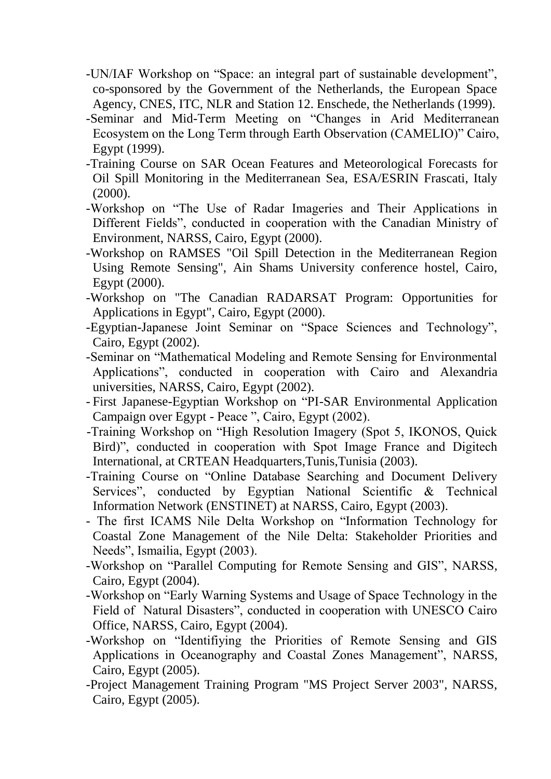- -UN/IAF Workshop on "Space: an integral part of sustainable development", co-sponsored by the Government of the Netherlands, the European Space Agency, CNES, ITC, NLR and Station 12. Enschede, the Netherlands (1999).
- -Seminar and Mid-Term Meeting on "Changes in Arid Mediterranean Ecosystem on the Long Term through Earth Observation (CAMELIO)" Cairo, Egypt (1999).
- -Training Course on SAR Ocean Features and Meteorological Forecasts for Oil Spill Monitoring in the Mediterranean Sea, ESA/ESRIN Frascati, Italy (2000).
- -Workshop on "The Use of Radar Imageries and Their Applications in Different Fields", conducted in cooperation with the Canadian Ministry of Environment, NARSS, Cairo, Egypt (2000).
- -Workshop on RAMSES "Oil Spill Detection in the Mediterranean Region Using Remote Sensing", Ain Shams University conference hostel, Cairo, Egypt (2000).
- -Workshop on "The Canadian RADARSAT Program: Opportunities for Applications in Egypt", Cairo, Egypt (2000).
- -Egyptian-Japanese Joint Seminar on "Space Sciences and Technology", Cairo, Egypt (2002).
- -Seminar on "Mathematical Modeling and Remote Sensing for Environmental Applications", conducted in cooperation with Cairo and Alexandria universities, NARSS, Cairo, Egypt (2002).
- First Japanese-Egyptian Workshop on "PI-SAR Environmental Application Campaign over Egypt - Peace ", Cairo, Egypt (2002).
- -Training Workshop on "High Resolution Imagery (Spot 5, IKONOS, Quick Bird)", conducted in cooperation with Spot Image France and Digitech International, at CRTEAN Headquarters,Tunis,Tunisia (2003).
- -Training Course on "Online Database Searching and Document Delivery Services", conducted by Egyptian National Scientific & Technical Information Network (ENSTINET) at NARSS, Cairo, Egypt (2003).
- The first ICAMS Nile Delta Workshop on "Information Technology for Coastal Zone Management of the Nile Delta: Stakeholder Priorities and Needs", Ismailia, Egypt (2003).
- -Workshop on "Parallel Computing for Remote Sensing and GIS", NARSS, Cairo, Egypt (2004).
- -Workshop on "Early Warning Systems and Usage of Space Technology in the Field of Natural Disasters", conducted in cooperation with UNESCO Cairo Office, NARSS, Cairo, Egypt (2004).
- -Workshop on "Identifiying the Priorities of Remote Sensing and GIS Applications in Oceanography and Coastal Zones Management", NARSS, Cairo, Egypt (2005).
- -Project Management Training Program "MS Project Server 2003", NARSS, Cairo, Egypt (2005).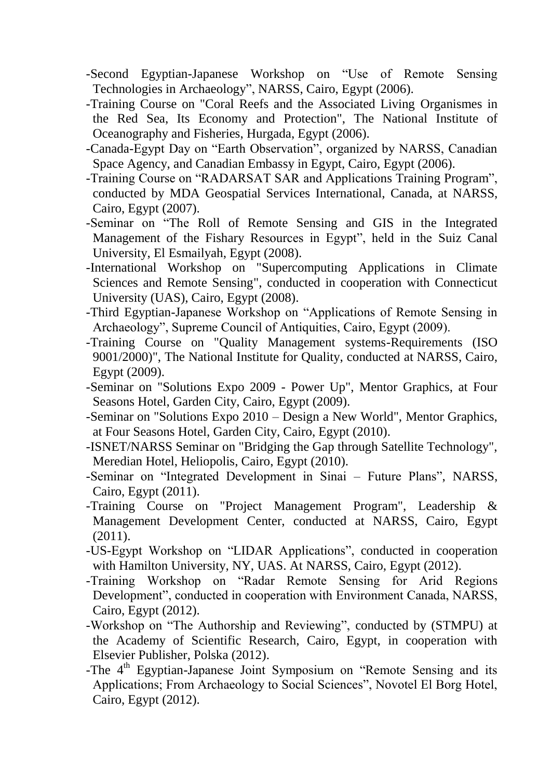- -Second Egyptian-Japanese Workshop on "Use of Remote Sensing Technologies in Archaeology", NARSS, Cairo, Egypt (2006).
- -Training Course on "Coral Reefs and the Associated Living Organismes in the Red Sea, Its Economy and Protection", The National Institute of Oceanography and Fisheries, Hurgada, Egypt (2006).
- -Canada-Egypt Day on "Earth Observation", organized by NARSS, Canadian Space Agency, and Canadian Embassy in Egypt, Cairo, Egypt (2006).
- -Training Course on "RADARSAT SAR and Applications Training Program", conducted by MDA Geospatial Services International, Canada, at NARSS, Cairo, Egypt (2007).
- -Seminar on "The Roll of Remote Sensing and GIS in the Integrated Management of the Fishary Resources in Egypt", held in the Suiz Canal University, El Esmailyah, Egypt (2008).
- -International Workshop on "Supercomputing Applications in Climate Sciences and Remote Sensing", conducted in cooperation with Connecticut University (UAS), Cairo, Egypt (2008).
- -Third Egyptian-Japanese Workshop on "Applications of Remote Sensing in Archaeology", Supreme Council of Antiquities, Cairo, Egypt (2009).
- -Training Course on "Quality Management systems-Requirements (ISO 9001/2000)", The National Institute for Quality, conducted at NARSS, Cairo, Egypt (2009).
- -Seminar on "Solutions Expo 2009 Power Up", Mentor Graphics, at Four Seasons Hotel, Garden City, Cairo, Egypt (2009).
- -Seminar on "Solutions Expo 2010 Design a New World", Mentor Graphics, at Four Seasons Hotel, Garden City, Cairo, Egypt (2010).
- -ISNET/NARSS Seminar on "Bridging the Gap through Satellite Technology", Meredian Hotel, Heliopolis, Cairo, Egypt (2010).
- -Seminar on "Integrated Development in Sinai Future Plans", NARSS, Cairo, Egypt (2011).
- -Training Course on "Project Management Program", Leadership & Management Development Center, conducted at NARSS, Cairo, Egypt (2011).
- -US-Egypt Workshop on "LIDAR Applications", conducted in cooperation with Hamilton University, NY, UAS. At NARSS, Cairo, Egypt (2012).
- -Training Workshop on "Radar Remote Sensing for Arid Regions Development", conducted in cooperation with Environment Canada, NARSS, Cairo, Egypt (2012).
- -Workshop on "The Authorship and Reviewing", conducted by (STMPU) at the Academy of Scientific Research, Cairo, Egypt, in cooperation with Elsevier Publisher, Polska (2012).
- -The 4<sup>th</sup> Egyptian-Japanese Joint Symposium on "Remote Sensing and its Applications; From Archaeology to Social Sciences", Novotel El Borg Hotel, Cairo, Egypt (2012).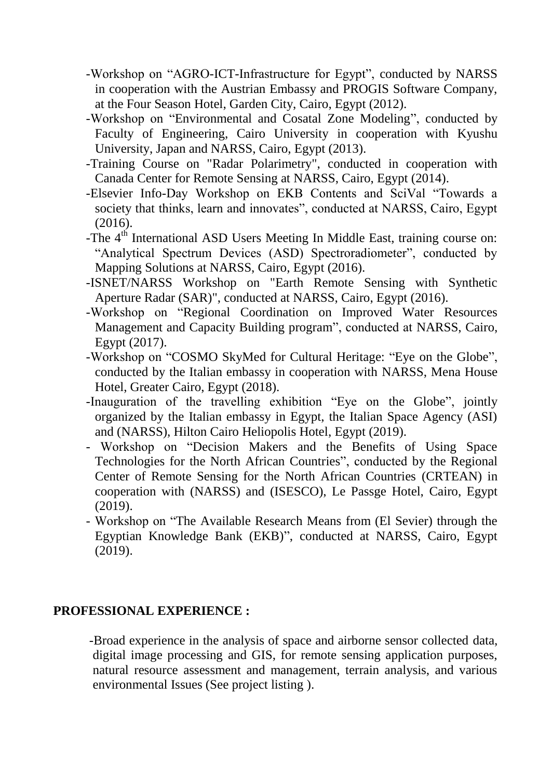- -Workshop on "AGRO-ICT-Infrastructure for Egypt", conducted by NARSS in cooperation with the Austrian Embassy and PROGIS Software Company, at the Four Season Hotel, Garden City, Cairo, Egypt (2012).
- -Workshop on "Environmental and Cosatal Zone Modeling", conducted by Faculty of Engineering, Cairo University in cooperation with Kyushu University, Japan and NARSS, Cairo, Egypt (2013).
- -Training Course on "Radar Polarimetry", conducted in cooperation with Canada Center for Remote Sensing at NARSS, Cairo, Egypt (2014).
- -Elsevier Info-Day Workshop on EKB Contents and SciVal "Towards a society that thinks, learn and innovates", conducted at NARSS, Cairo, Egypt (2016).
- -The 4<sup>th</sup> International ASD Users Meeting In Middle East, training course on: "Analytical Spectrum Devices (ASD) Spectroradiometer", conducted by Mapping Solutions at NARSS, Cairo, Egypt (2016).
- -ISNET/NARSS Workshop on "Earth Remote Sensing with Synthetic Aperture Radar (SAR)", conducted at NARSS, Cairo, Egypt (2016).
- -Workshop on "Regional Coordination on Improved Water Resources Management and Capacity Building program", conducted at NARSS, Cairo, Egypt (2017).
- -Workshop on "COSMO SkyMed for Cultural Heritage: "Eye on the Globe", conducted by the Italian embassy in cooperation with NARSS, Mena House Hotel, Greater Cairo, Egypt (2018).
- -Inauguration of the travelling exhibition "Eye on the Globe", jointly organized by the Italian embassy in Egypt, the Italian Space Agency (ASI) and (NARSS), Hilton Cairo Heliopolis Hotel, Egypt (2019).
- Workshop on "Decision Makers and the Benefits of Using Space Technologies for the North African Countries", conducted by the Regional Center of Remote Sensing for the North African Countries (CRTEAN) in cooperation with (NARSS) and (ISESCO), Le Passge Hotel, Cairo, Egypt (2019).
- Workshop on "The Available Research Means from (El Sevier) through the Egyptian Knowledge Bank (EKB)", conducted at NARSS, Cairo, Egypt (2019).

### **PROFESSIONAL EXPERIENCE :**

-Broad experience in the analysis of space and airborne sensor collected data, digital image processing and GIS, for remote sensing application purposes, natural resource assessment and management, terrain analysis, and various environmental Issues (See project listing ).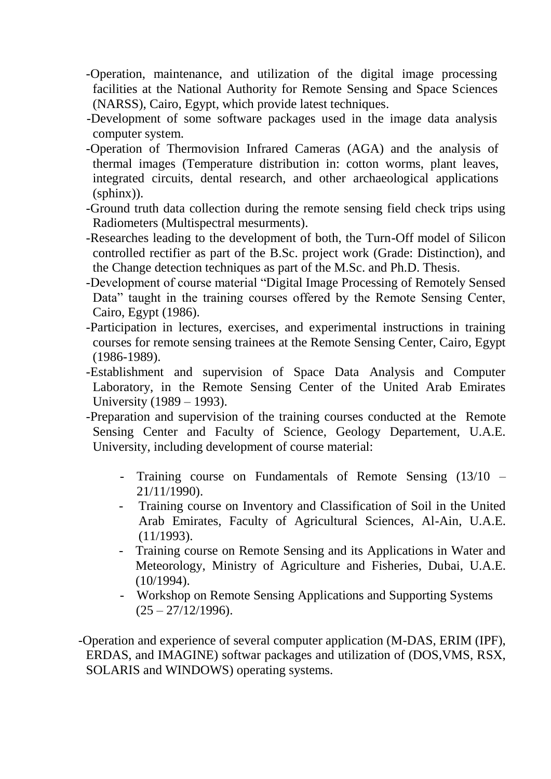- -Operation, maintenance, and utilization of the digital image processing facilities at the National Authority for Remote Sensing and Space Sciences (NARSS), Cairo, Egypt, which provide latest techniques.
- -Development of some software packages used in the image data analysis computer system.
- -Operation of Thermovision Infrared Cameras (AGA) and the analysis of thermal images (Temperature distribution in: cotton worms, plant leaves, integrated circuits, dental research, and other archaeological applications (sphinx)).
- -Ground truth data collection during the remote sensing field check trips using Radiometers (Multispectral mesurments).
- -Researches leading to the development of both, the Turn-Off model of Silicon controlled rectifier as part of the B.Sc. project work (Grade: Distinction), and the Change detection techniques as part of the M.Sc. and Ph.D. Thesis.
- -Development of course material "Digital Image Processing of Remotely Sensed Data" taught in the training courses offered by the Remote Sensing Center, Cairo, Egypt (1986).
- -Participation in lectures, exercises, and experimental instructions in training courses for remote sensing trainees at the Remote Sensing Center, Cairo, Egypt (1986-1989).
- -Establishment and supervision of Space Data Analysis and Computer Laboratory, in the Remote Sensing Center of the United Arab Emirates University (1989 – 1993).
- -Preparation and supervision of the training courses conducted at the Remote Sensing Center and Faculty of Science, Geology Departement, U.A.E. University, including development of course material:
	- Training course on Fundamentals of Remote Sensing (13/10 21/11/1990).
	- Training course on Inventory and Classification of Soil in the United Arab Emirates, Faculty of Agricultural Sciences, Al-Ain, U.A.E. (11/1993).
	- Training course on Remote Sensing and its Applications in Water and Meteorology, Ministry of Agriculture and Fisheries, Dubai, U.A.E.  $(10/1994)$ .
	- Workshop on Remote Sensing Applications and Supporting Systems  $(25 - 27/12/1996)$ .

-Operation and experience of several computer application (M-DAS, ERIM (IPF), ERDAS, and IMAGINE) softwar packages and utilization of (DOS,VMS, RSX, SOLARIS and WINDOWS) operating systems.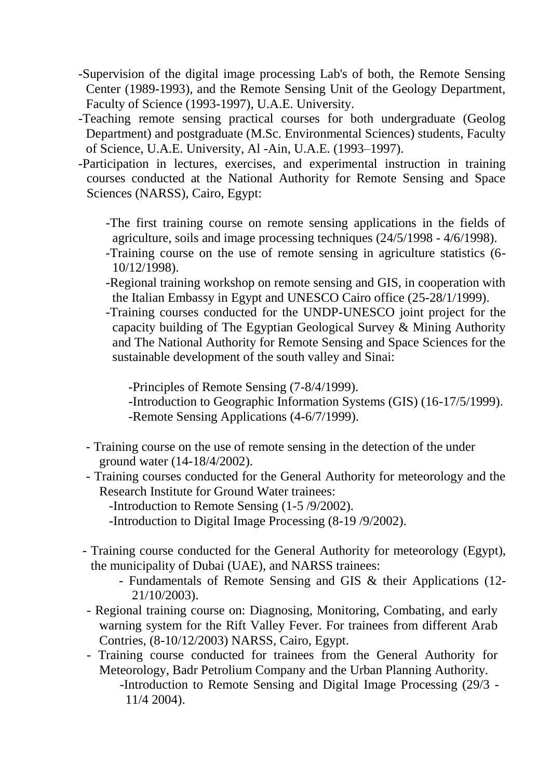- -Supervision of the digital image processing Lab's of both, the Remote Sensing Center (1989-1993), and the Remote Sensing Unit of the Geology Department, Faculty of Science (1993-1997), U.A.E. University.
- -Teaching remote sensing practical courses for both undergraduate (Geolog Department) and postgraduate (M.Sc. Environmental Sciences) students, Faculty of Science, U.A.E. University, Al -Ain, U.A.E. (1993–1997).
- -Participation in lectures, exercises, and experimental instruction in training courses conducted at the National Authority for Remote Sensing and Space Sciences (NARSS), Cairo, Egypt:
	- -The first training course on remote sensing applications in the fields of agriculture, soils and image processing techniques (24/5/1998 - 4/6/1998).
	- -Training course on the use of remote sensing in agriculture statistics (6- 10/12/1998).
	- -Regional training workshop on remote sensing and GIS, in cooperation with the Italian Embassy in Egypt and UNESCO Cairo office (25-28/1/1999).
	- -Training courses conducted for the UNDP-UNESCO joint project for the capacity building of The Egyptian Geological Survey & Mining Authority and The National Authority for Remote Sensing and Space Sciences for the sustainable development of the south valley and Sinai:

-Principles of Remote Sensing (7-8/4/1999).

- -Introduction to Geographic Information Systems (GIS) (16-17/5/1999).
- -Remote Sensing Applications (4-6/7/1999).
- Training course on the use of remote sensing in the detection of the under ground water (14-18/4/2002).
- Training courses conducted for the General Authority for meteorology and the Research Institute for Ground Water trainees:

-Introduction to Remote Sensing (1-5 /9/2002).

- -Introduction to Digital Image Processing (8-19 /9/2002).
- Training course conducted for the General Authority for meteorology (Egypt), the municipality of Dubai (UAE), and NARSS trainees:
	- Fundamentals of Remote Sensing and GIS & their Applications (12- 21/10/2003).
- Regional training course on: Diagnosing, Monitoring, Combating, and early warning system for the Rift Valley Fever. For trainees from different Arab Contries, (8-10/12/2003) NARSS, Cairo, Egypt.
- Training course conducted for trainees from the General Authority for Meteorology, Badr Petrolium Company and the Urban Planning Authority. -Introduction to Remote Sensing and Digital Image Processing (29/3 - 11/4 2004).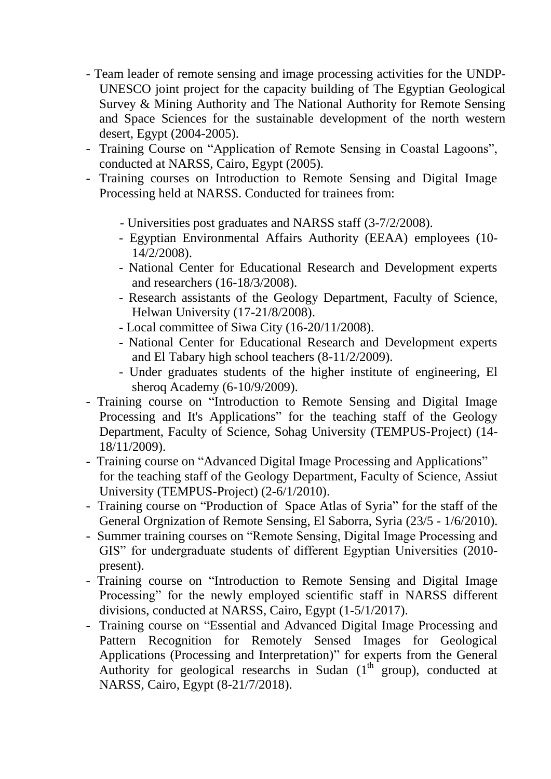- Team leader of remote sensing and image processing activities for the UNDP-UNESCO joint project for the capacity building of The Egyptian Geological Survey & Mining Authority and The National Authority for Remote Sensing and Space Sciences for the sustainable development of the north western desert, Egypt (2004-2005).
- Training Course on "Application of Remote Sensing in Coastal Lagoons", conducted at NARSS, Cairo, Egypt (2005).
- Training courses on Introduction to Remote Sensing and Digital Image Processing held at NARSS. Conducted for trainees from:
	- Universities post graduates and NARSS staff (3-7/2/2008).
	- Egyptian Environmental Affairs Authority (EEAA) employees (10- 14/2/2008).
	- National Center for Educational Research and Development experts and researchers (16-18/3/2008).
	- Research assistants of the Geology Department, Faculty of Science, Helwan University (17-21/8/2008).
	- Local committee of Siwa City (16-20/11/2008).
	- National Center for Educational Research and Development experts and El Tabary high school teachers (8-11/2/2009).
	- Under graduates students of the higher institute of engineering, El sheroq Academy (6-10/9/2009).
- Training course on "Introduction to Remote Sensing and Digital Image Processing and It's Applications" for the teaching staff of the Geology Department, Faculty of Science, Sohag University (TEMPUS-Project) (14- 18/11/2009).
- Training course on "Advanced Digital Image Processing and Applications" for the teaching staff of the Geology Department, Faculty of Science, Assiut University (TEMPUS-Project) (2-6/1/2010).
- Training course on "Production of Space Atlas of Syria" for the staff of the General Orgnization of Remote Sensing, El Saborra, Syria (23/5 - 1/6/2010).
- Summer training courses on "Remote Sensing, Digital Image Processing and GIS" for undergraduate students of different Egyptian Universities (2010 present).
- Training course on "Introduction to Remote Sensing and Digital Image Processing" for the newly employed scientific staff in NARSS different divisions, conducted at NARSS, Cairo, Egypt (1-5/1/2017).
- Training course on "Essential and Advanced Digital Image Processing and Pattern Recognition for Remotely Sensed Images for Geological Applications (Processing and Interpretation)" for experts from the General Authority for geological researchs in Sudan  $(1<sup>th</sup> group)$ , conducted at NARSS, Cairo, Egypt (8-21/7/2018).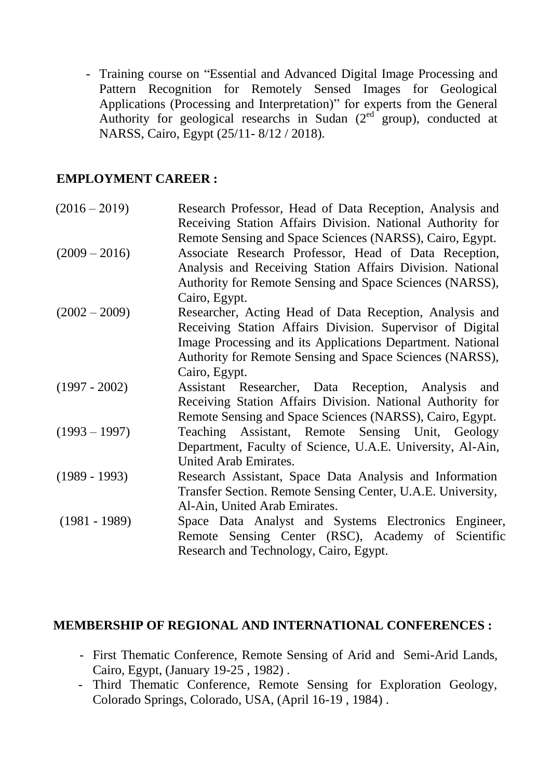- Training course on "Essential and Advanced Digital Image Processing and Pattern Recognition for Remotely Sensed Images for Geological Applications (Processing and Interpretation)" for experts from the General Authority for geological researchs in Sudan  $(2<sup>ed</sup> group)$ , conducted at NARSS, Cairo, Egypt (25/11- 8/12 / 2018).

# **EMPLOYMENT CAREER :**

| $(2016 - 2019)$ | Research Professor, Head of Data Reception, Analysis and    |
|-----------------|-------------------------------------------------------------|
|                 | Receiving Station Affairs Division. National Authority for  |
|                 | Remote Sensing and Space Sciences (NARSS), Cairo, Egypt.    |
| $(2009 - 2016)$ | Associate Research Professor, Head of Data Reception,       |
|                 | Analysis and Receiving Station Affairs Division. National   |
|                 | Authority for Remote Sensing and Space Sciences (NARSS),    |
|                 | Cairo, Egypt.                                               |
| $(2002 - 2009)$ | Researcher, Acting Head of Data Reception, Analysis and     |
|                 | Receiving Station Affairs Division. Supervisor of Digital   |
|                 | Image Processing and its Applications Department. National  |
|                 | Authority for Remote Sensing and Space Sciences (NARSS),    |
|                 | Cairo, Egypt.                                               |
| $(1997 - 2002)$ | Assistant Researcher, Data Reception, Analysis<br>and       |
|                 | Receiving Station Affairs Division. National Authority for  |
|                 | Remote Sensing and Space Sciences (NARSS), Cairo, Egypt.    |
| $(1993 - 1997)$ | Teaching Assistant, Remote Sensing Unit, Geology            |
|                 | Department, Faculty of Science, U.A.E. University, Al-Ain,  |
|                 | United Arab Emirates.                                       |
| $(1989 - 1993)$ | Research Assistant, Space Data Analysis and Information     |
|                 | Transfer Section. Remote Sensing Center, U.A.E. University, |
|                 | Al-Ain, United Arab Emirates.                               |
| $(1981 - 1989)$ | Space Data Analyst and Systems Electronics Engineer,        |
|                 | Remote Sensing Center (RSC), Academy of Scientific          |
|                 | Research and Technology, Cairo, Egypt.                      |

### **MEMBERSHIP OF REGIONAL AND INTERNATIONAL CONFERENCES :**

- First Thematic Conference, Remote Sensing of Arid and Semi-Arid Lands, Cairo, Egypt, (January 19-25 , 1982) .
- Third Thematic Conference, Remote Sensing for Exploration Geology, Colorado Springs, Colorado, USA, (April 16-19 , 1984) .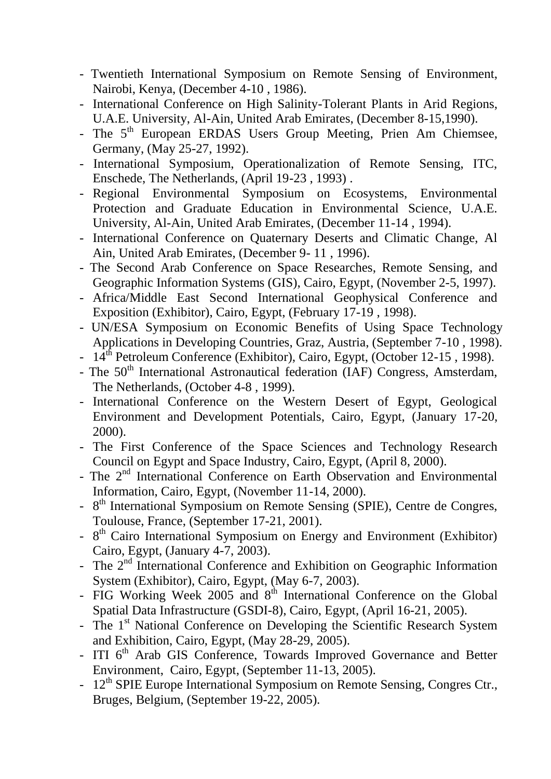- Twentieth International Symposium on Remote Sensing of Environment, Nairobi, Kenya, (December 4-10 , 1986).
- International Conference on High Salinity-Tolerant Plants in Arid Regions, U.A.E. University, Al-Ain, United Arab Emirates, (December 8-15,1990).
- The 5<sup>th</sup> European ERDAS Users Group Meeting, Prien Am Chiemsee, Germany, (May 25-27, 1992).
- International Symposium, Operationalization of Remote Sensing, ITC, Enschede, The Netherlands, (April 19-23 , 1993) .
- Regional Environmental Symposium on Ecosystems, Environmental Protection and Graduate Education in Environmental Science, U.A.E. University, Al-Ain, United Arab Emirates, (December 11-14 , 1994).
- International Conference on Quaternary Deserts and Climatic Change, Al Ain, United Arab Emirates, (December 9- 11 , 1996).
- The Second Arab Conference on Space Researches, Remote Sensing, and Geographic Information Systems (GIS), Cairo, Egypt, (November 2-5, 1997).
- Africa/Middle East Second International Geophysical Conference and Exposition (Exhibitor), Cairo, Egypt, (February 17-19 , 1998).
- UN/ESA Symposium on Economic Benefits of Using Space Technology Applications in Developing Countries, Graz, Austria, (September 7-10 , 1998).
- 14<sup>th</sup> Petroleum Conference (Exhibitor), Cairo, Egypt, (October 12-15, 1998).
- The  $50<sup>th</sup>$  International Astronautical federation (IAF) Congress, Amsterdam, The Netherlands, (October 4-8 , 1999).
- International Conference on the Western Desert of Egypt, Geological Environment and Development Potentials, Cairo, Egypt, (January 17-20, 2000).
- The First Conference of the Space Sciences and Technology Research Council on Egypt and Space Industry, Cairo, Egypt, (April 8, 2000).
- The 2<sup>nd</sup> International Conference on Earth Observation and Environmental Information, Cairo, Egypt, (November 11-14, 2000).
- 8<sup>th</sup> International Symposium on Remote Sensing (SPIE), Centre de Congres, Toulouse, France, (September 17-21, 2001).
- 8<sup>th</sup> Cairo International Symposium on Energy and Environment (Exhibitor) Cairo, Egypt, (January 4-7, 2003).
- The 2<sup>nd</sup> International Conference and Exhibition on Geographic Information System (Exhibitor), Cairo, Egypt, (May 6-7, 2003).
- FIG Working Week 2005 and  $8<sup>th</sup>$  International Conference on the Global Spatial Data Infrastructure (GSDI-8), Cairo, Egypt, (April 16-21, 2005).
- The 1<sup>st</sup> National Conference on Developing the Scientific Research System and Exhibition, Cairo, Egypt, (May 28-29, 2005).
- ITI  $6<sup>th</sup>$  Arab GIS Conference, Towards Improved Governance and Better Environment, Cairo, Egypt, (September 11-13, 2005).
- 12<sup>th</sup> SPIE Europe International Symposium on Remote Sensing, Congres Ctr., Bruges, Belgium, (September 19-22, 2005).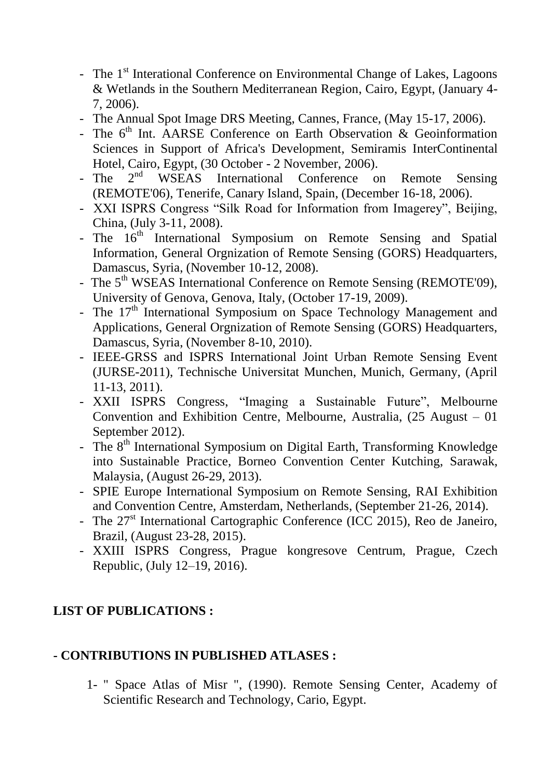- The 1<sup>st</sup> Interational Conference on Environmental Change of Lakes, Lagoons & Wetlands in the Southern Mediterranean Region, Cairo, Egypt, (January 4- 7, 2006).
- The Annual Spot Image DRS Meeting, Cannes, France, (May 15-17, 2006).
- The  $6<sup>th</sup>$  Int. AARSE Conference on Earth Observation & Geoinformation Sciences in Support of Africa's Development, Semiramis InterContinental Hotel, Cairo, Egypt, (30 October - 2 November, 2006).
- The  $2^{nd}$  WSEAS International Conference on Remote Sensing (REMOTE'06), Tenerife, Canary Island, Spain, (December 16-18, 2006).
- XXI ISPRS Congress "Silk Road for Information from Imagerey", Beijing, China, (July 3-11, 2008).
- The  $16<sup>th</sup>$  International Symposium on Remote Sensing and Spatial Information, General Orgnization of Remote Sensing (GORS) Headquarters, Damascus, Syria, (November 10-12, 2008).
- The 5<sup>th</sup> WSEAS International Conference on Remote Sensing (REMOTE'09), University of Genova, Genova, Italy, (October 17-19, 2009).
- The  $17<sup>th</sup>$  International Symposium on Space Technology Management and Applications, General Orgnization of Remote Sensing (GORS) Headquarters, Damascus, Syria, (November 8-10, 2010).
- IEEE-GRSS and ISPRS International Joint Urban Remote Sensing Event (JURSE-2011), Technische Universitat Munchen, Munich, Germany, (April 11-13, 2011).
- XXII ISPRS Congress, "Imaging a Sustainable Future", Melbourne Convention and Exhibition Centre, Melbourne, Australia, (25 August – 01 September 2012).
- The 8<sup>th</sup> International Symposium on Digital Earth, Transforming Knowledge into Sustainable Practice, Borneo Convention Center Kutching, Sarawak, Malaysia, (August 26-29, 2013).
- SPIE Europe International Symposium on Remote Sensing, RAI Exhibition and Convention Centre, Amsterdam, Netherlands, (September 21-26, 2014).
- The  $27<sup>st</sup>$  International Cartographic Conference (ICC 2015), Reo de Janeiro, Brazil, (August 23-28, 2015).
- XXIII ISPRS Congress, Prague kongresove Centrum, Prague, Czech Republic, (July 12–19, 2016).

# **LIST OF PUBLICATIONS :**

### **- CONTRIBUTIONS IN PUBLISHED ATLASES :**

1- " Space Atlas of Misr ", (1990). Remote Sensing Center, Academy of Scientific Research and Technology, Cario, Egypt.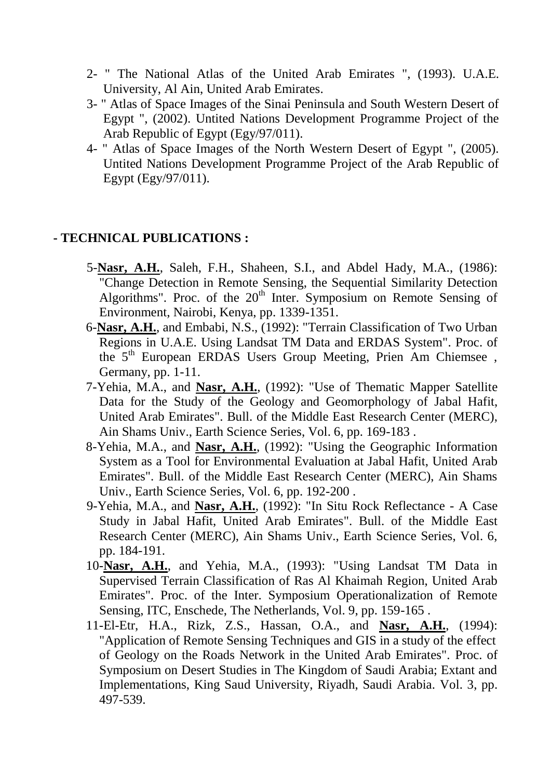- 2- " The National Atlas of the United Arab Emirates ", (1993). U.A.E. University, Al Ain, United Arab Emirates.
- 3- " Atlas of Space Images of the Sinai Peninsula and South Western Desert of Egypt ", (2002). Untited Nations Development Programme Project of the Arab Republic of Egypt (Egy/97/011).
- 4- " Atlas of Space Images of the North Western Desert of Egypt ", (2005). Untited Nations Development Programme Project of the Arab Republic of Egypt (Egy/97/011).

### **- TECHNICAL PUBLICATIONS :**

- 5-**Nasr, A.H.**, Saleh, F.H., Shaheen, S.I., and Abdel Hady, M.A., (1986): "Change Detection in Remote Sensing, the Sequential Similarity Detection Algorithms". Proc. of the 20<sup>th</sup> Inter. Symposium on Remote Sensing of Environment, Nairobi, Kenya, pp. 1339-1351.
- 6-**Nasr, A.H.**, and Embabi, N.S., (1992): "Terrain Classification of Two Urban Regions in U.A.E. Using Landsat TM Data and ERDAS System". Proc. of the 5<sup>th</sup> European ERDAS Users Group Meeting, Prien Am Chiemsee, Germany, pp. 1-11.
- 7-Yehia, M.A., and **Nasr, A.H.**, (1992): "Use of Thematic Mapper Satellite Data for the Study of the Geology and Geomorphology of Jabal Hafit, United Arab Emirates". Bull. of the Middle East Research Center (MERC), Ain Shams Univ., Earth Science Series, Vol. 6, pp. 169-183 .
- 8-Yehia, M.A., and **Nasr, A.H.**, (1992): "Using the Geographic Information System as a Tool for Environmental Evaluation at Jabal Hafit, United Arab Emirates". Bull. of the Middle East Research Center (MERC), Ain Shams Univ., Earth Science Series, Vol. 6, pp. 192-200 .
- 9-Yehia, M.A., and **Nasr, A.H.**, (1992): "In Situ Rock Reflectance A Case Study in Jabal Hafit, United Arab Emirates". Bull. of the Middle East Research Center (MERC), Ain Shams Univ., Earth Science Series, Vol. 6, pp. 184-191.
- 10-**Nasr, A.H.**, and Yehia, M.A., (1993): "Using Landsat TM Data in Supervised Terrain Classification of Ras Al Khaimah Region, United Arab Emirates". Proc. of the Inter. Symposium Operationalization of Remote Sensing, ITC, Enschede, The Netherlands, Vol. 9, pp. 159-165 .
- 11-El-Etr, H.A., Rizk, Z.S., Hassan, O.A., and **Nasr, A.H.**, (1994): "Application of Remote Sensing Techniques and GIS in a study of the effect of Geology on the Roads Network in the United Arab Emirates". Proc. of Symposium on Desert Studies in The Kingdom of Saudi Arabia; Extant and Implementations, King Saud University, Riyadh, Saudi Arabia. Vol. 3, pp. 497-539.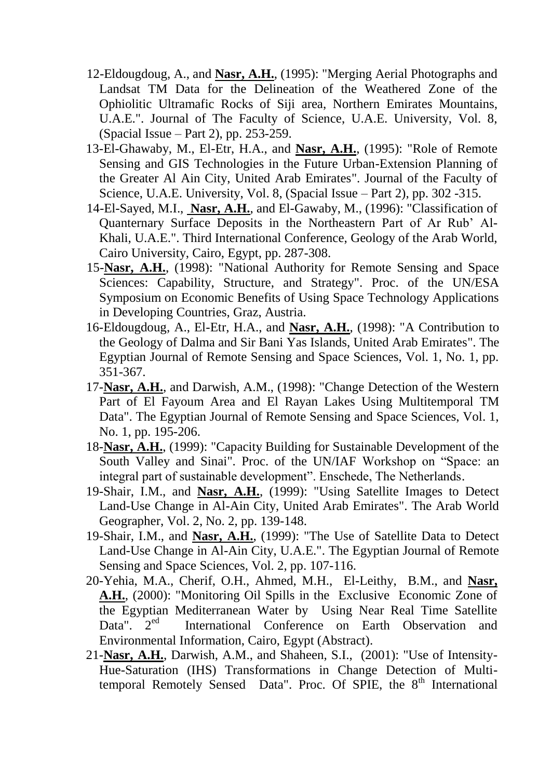- 12-Eldougdoug, A., and **Nasr, A.H.**, (1995): "Merging Aerial Photographs and Landsat TM Data for the Delineation of the Weathered Zone of the Ophiolitic Ultramafic Rocks of Siji area, Northern Emirates Mountains, U.A.E.". Journal of The Faculty of Science, U.A.E. University, Vol. 8, (Spacial Issue – Part 2), pp. 253-259.
- 13-El-Ghawaby, M., El-Etr, H.A., and **Nasr, A.H.**, (1995): "Role of Remote Sensing and GIS Technologies in the Future Urban-Extension Planning of the Greater Al Ain City, United Arab Emirates". Journal of the Faculty of Science, U.A.E. University, Vol. 8, (Spacial Issue – Part 2), pp. 302 -315.
- 14-El-Sayed, M.I., **Nasr, A.H.**, and El-Gawaby, M., (1996): "Classification of Quanternary Surface Deposits in the Northeastern Part of Ar Rub' Al-Khali, U.A.E.". Third International Conference, Geology of the Arab World, Cairo University, Cairo, Egypt, pp. 287-308.
- 15-**Nasr, A.H.**, (1998): "National Authority for Remote Sensing and Space Sciences: Capability, Structure, and Strategy". Proc. of the UN/ESA Symposium on Economic Benefits of Using Space Technology Applications in Developing Countries, Graz, Austria.
- 16-Eldougdoug, A., El-Etr, H.A., and **Nasr, A.H.**, (1998): "A Contribution to the Geology of Dalma and Sir Bani Yas Islands, United Arab Emirates". The Egyptian Journal of Remote Sensing and Space Sciences, Vol. 1, No. 1, pp. 351-367.
- 17-**Nasr, A.H.**, and Darwish, A.M., (1998): "Change Detection of the Western Part of El Fayoum Area and El Rayan Lakes Using Multitemporal TM Data". The Egyptian Journal of Remote Sensing and Space Sciences, Vol. 1, No. 1, pp. 195-206.
- 18-**Nasr, A.H.**, (1999): "Capacity Building for Sustainable Development of the South Valley and Sinai". Proc. of the UN/IAF Workshop on "Space: an integral part of sustainable development". Enschede, The Netherlands.
- 19-Shair, I.M., and **Nasr, A.H.**, (1999): "Using Satellite Images to Detect Land-Use Change in Al-Ain City, United Arab Emirates". The Arab World Geographer, Vol. 2, No. 2, pp. 139-148.
- 19-Shair, I.M., and **Nasr, A.H.**, (1999): "The Use of Satellite Data to Detect Land-Use Change in Al-Ain City, U.A.E.". The Egyptian Journal of Remote Sensing and Space Sciences, Vol. 2, pp. 107-116.
- 20-Yehia, M.A., Cherif, O.H., Ahmed, M.H., El-Leithy, B.M., and **Nasr, A.H.**, (2000): "Monitoring Oil Spills in the Exclusive Economic Zone of the Egyptian Mediterranean Water by Using Near Real Time Satellite Data".  $2<sup>ed</sup>$  International Conference on Earth Observation and Environmental Information, Cairo, Egypt (Abstract).
- 21-**Nasr, A.H.**, Darwish, A.M., and Shaheen, S.I., (2001): "Use of Intensity-Hue-Saturation (IHS) Transformations in Change Detection of Multitemporal Remotely Sensed Data". Proc. Of SPIE, the 8<sup>th</sup> International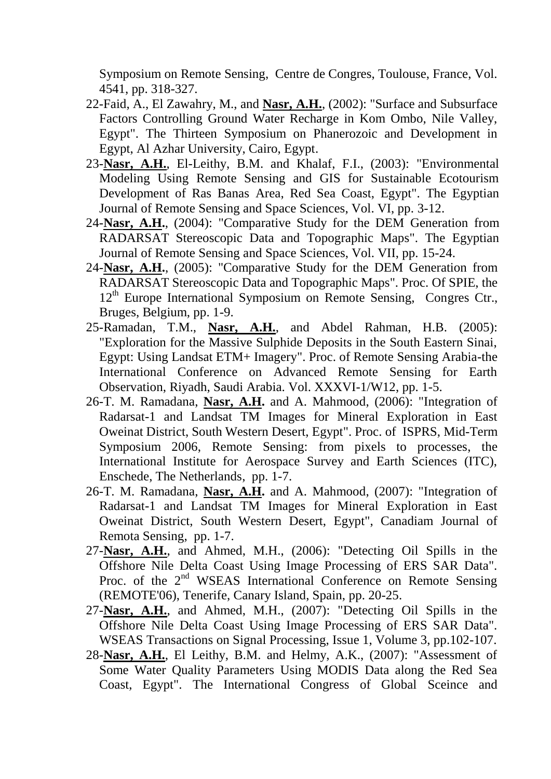Symposium on Remote Sensing, Centre de Congres, Toulouse, France, Vol. 4541, pp. 318-327.

- 22-Faid, A., El Zawahry, M., and **Nasr, A.H.**, (2002): "Surface and Subsurface Factors Controlling Ground Water Recharge in Kom Ombo, Nile Valley, Egypt". The Thirteen Symposium on Phanerozoic and Development in Egypt, Al Azhar University, Cairo, Egypt.
- 23-**Nasr, A.H.**, El-Leithy, B.M. and Khalaf, F.I., (2003): "Environmental Modeling Using Remote Sensing and GIS for Sustainable Ecotourism Development of Ras Banas Area, Red Sea Coast, Egypt". The Egyptian Journal of Remote Sensing and Space Sciences, Vol. VI, pp. 3-12.
- 24-**Nasr, A.H.**, (2004): "Comparative Study for the DEM Generation from RADARSAT Stereoscopic Data and Topographic Maps". The Egyptian Journal of Remote Sensing and Space Sciences, Vol. VII, pp. 15-24.
- 24-**Nasr, A.H.**, (2005): "Comparative Study for the DEM Generation from RADARSAT Stereoscopic Data and Topographic Maps". Proc. Of SPIE, the 12<sup>th</sup> Europe International Symposium on Remote Sensing, Congres Ctr., Bruges, Belgium, pp. 1-9.
- 25-Ramadan, T.M., **Nasr, A.H.**, and Abdel Rahman, H.B. (2005): "Exploration for the Massive Sulphide Deposits in the South Eastern Sinai, Egypt: Using Landsat ETM+ Imagery". Proc. of Remote Sensing Arabia-the International Conference on Advanced Remote Sensing for Earth Observation, Riyadh, Saudi Arabia. Vol. XXXVI-1/W12, pp. 1-5.
- 26-T. M. Ramadana, **Nasr, A.H.** and A. Mahmood, (2006): "Integration of Radarsat-1 and Landsat TM Images for Mineral Exploration in East Oweinat District, South Western Desert, Egypt". Proc. of ISPRS, Mid-Term Symposium 2006, Remote Sensing: from pixels to processes, the International Institute for Aerospace Survey and Earth Sciences (ITC), Enschede, The Netherlands, pp. 1-7.
- 26-T. M. Ramadana, **Nasr, A.H.** and A. Mahmood, (2007): "Integration of Radarsat-1 and Landsat TM Images for Mineral Exploration in East Oweinat District, South Western Desert, Egypt", Canadiam Journal of Remota Sensing, pp. 1-7.
- 27-**Nasr, A.H.**, and Ahmed, M.H., (2006): "Detecting Oil Spills in the Offshore Nile Delta Coast Using Image Processing of ERS SAR Data". Proc. of the 2<sup>nd</sup> WSEAS International Conference on Remote Sensing (REMOTE'06), Tenerife, Canary Island, Spain, pp. 20-25.
- 27-**Nasr, A.H.**, and Ahmed, M.H., (2007): "Detecting Oil Spills in the Offshore Nile Delta Coast Using Image Processing of ERS SAR Data". WSEAS Transactions on Signal Processing, Issue 1, Volume 3, pp.102-107.
- 28-**Nasr, A.H.**, El Leithy, B.M. and Helmy, A.K., (2007): "Assessment of Some Water Quality Parameters Using MODIS Data along the Red Sea Coast, Egypt". The International Congress of Global Sceince and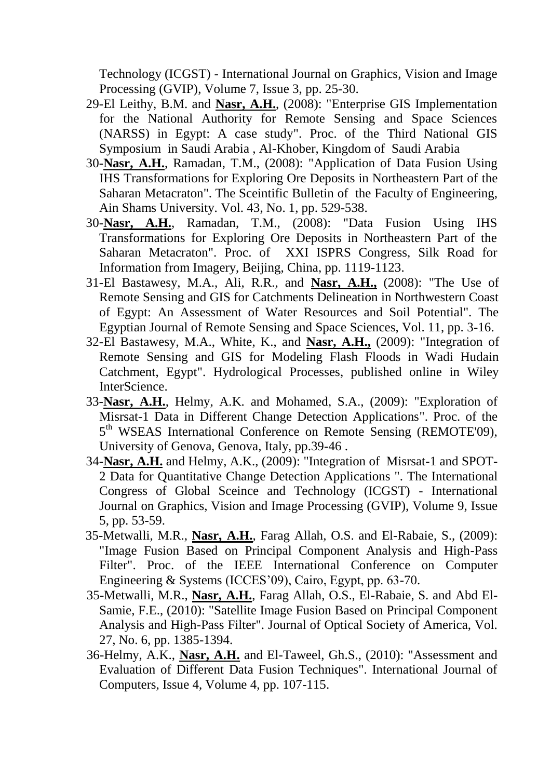Technology (ICGST) - International Journal on Graphics, Vision and Image Processing (GVIP), Volume 7, Issue 3, pp. 25-30.

- 29-El Leithy, B.M. and **Nasr, A.H.**, (2008): "Enterprise GIS Implementation for the National Authority for Remote Sensing and Space Sciences (NARSS) in Egypt: A case study". Proc. of the Third National GIS Symposium in Saudi Arabia , Al-Khober, Kingdom of Saudi Arabia
- 30-**Nasr, A.H.**, Ramadan, T.M., (2008): "Application of Data Fusion Using IHS Transformations for Exploring Ore Deposits in Northeastern Part of the Saharan Metacraton". The Sceintific Bulletin of the Faculty of Engineering, Ain Shams University. Vol. 43, No. 1, pp. 529-538.
- 30-**Nasr, A.H.**, Ramadan, T.M., (2008): "Data Fusion Using IHS Transformations for Exploring Ore Deposits in Northeastern Part of the Saharan Metacraton". Proc. of XXI ISPRS Congress, Silk Road for Information from Imagery, Beijing, China, pp. 1119-1123.
- 31-El Bastawesy, M.A., Ali, R.R., and **Nasr, A.H.,** (2008): "The Use of Remote Sensing and GIS for Catchments Delineation in Northwestern Coast of Egypt: An Assessment of Water Resources and Soil Potential". The Egyptian Journal of Remote Sensing and Space Sciences, Vol. 11, pp. 3-16.
- 32-El Bastawesy, M.A., White, K., and **Nasr, A.H.,** (2009): "Integration of Remote Sensing and GIS for Modeling Flash Floods in Wadi Hudain Catchment, Egypt". Hydrological Processes, published online in Wiley InterScience.
- 33-**Nasr, A.H.**, Helmy, A.K. and Mohamed, S.A., (2009): "Exploration of Misrsat-1 Data in Different Change Detection Applications". Proc. of the 5<sup>th</sup> WSEAS International Conference on Remote Sensing (REMOTE'09), University of Genova, Genova, Italy, pp.39-46 .
- 34-**Nasr, A.H.** and Helmy, A.K., (2009): "Integration of Misrsat-1 and SPOT-2 Data for Quantitative Change Detection Applications ". The International Congress of Global Sceince and Technology (ICGST) - International Journal on Graphics, Vision and Image Processing (GVIP), Volume 9, Issue 5, pp. 53-59.
- 35-Metwalli, M.R., **Nasr, A.H.**, Farag Allah, O.S. and El-Rabaie, S., (2009): "Image Fusion Based on Principal Component Analysis and High-Pass Filter". Proc. of the IEEE International Conference on Computer Engineering & Systems (ICCES'09), Cairo, Egypt, pp. 63-70.
- 35-Metwalli, M.R., **Nasr, A.H.**, Farag Allah, O.S., El-Rabaie, S. and Abd El-Samie, F.E., (2010): "Satellite Image Fusion Based on Principal Component Analysis and High-Pass Filter". Journal of Optical Society of America, Vol. 27, No. 6, pp. 1385-1394.
- 36-Helmy, A.K., **Nasr, A.H.** and El-Taweel, Gh.S., (2010): "Assessment and Evaluation of Different Data Fusion Techniques". International Journal of Computers, Issue 4, Volume 4, pp. 107-115.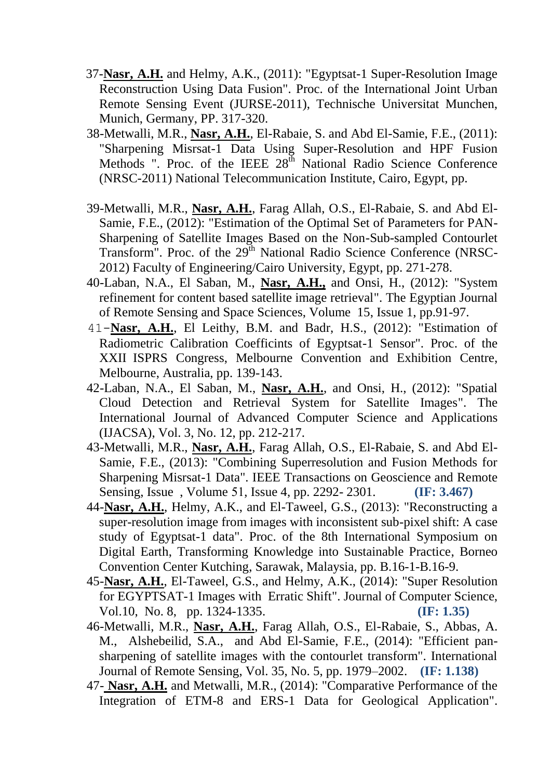- 37-**Nasr, A.H.** and Helmy, A.K., (2011): "Egyptsat-1 Super-Resolution Image Reconstruction Using Data Fusion". Proc. of the International Joint Urban Remote Sensing Event (JURSE-2011), Technische Universitat Munchen, Munich, Germany, PP. 317-320.
- 38-Metwalli, M.R., **Nasr, A.H.**, El-Rabaie, S. and Abd El-Samie, F.E., (2011): "Sharpening Misrsat-1 Data Using Super-Resolution and HPF Fusion Methods ". Proc. of the IEEE 28<sup>th</sup> National Radio Science Conference (NRSC-2011) National Telecommunication Institute, Cairo, Egypt, pp.
- 39-Metwalli, M.R., **Nasr, A.H.**, Farag Allah, O.S., El-Rabaie, S. and Abd El-Samie, F.E., (2012): "Estimation of the Optimal Set of Parameters for PAN-Sharpening of Satellite Images Based on the Non-Sub-sampled Contourlet Transform". Proc. of the 29<sup>th</sup> National Radio Science Conference (NRSC-2012) Faculty of Engineering/Cairo University, Egypt, pp. 271-278.
- 40-Laban, N.A., El Saban, M., **Nasr, A.H.,** and Onsi, H., (2012): "System refinement for content based satellite image retrieval". The Egyptian Journal of Remote Sensing and Space Sciences, Volume 15, Issue 1, pp.91-97.
- 41-**Nasr, A.H.**, El Leithy, B.M. and Badr, H.S., (2012): "Estimation of Radiometric Calibration Coefficints of Egyptsat-1 Sensor". Proc. of the XXII ISPRS Congress, Melbourne Convention and Exhibition Centre, Melbourne, Australia, pp. 139-143.
- 42-Laban, N.A., El Saban, M., **Nasr, A.H.**, and Onsi, H., (2012): "Spatial Cloud Detection and Retrieval System for Satellite Images". The International Journal of Advanced Computer Science and Applications (IJACSA), Vol. 3, No. 12, pp. 212-217.
- 43-Metwalli, M.R., **Nasr, A.H.**, Farag Allah, O.S., El-Rabaie, S. and Abd El-Samie, F.E., (2013): "Combining Superresolution and Fusion Methods for Sharpening Misrsat-1 Data". IEEE Transactions on Geoscience and Remote Sensing, Issue , Volume 51, Issue 4, pp. 2292- 2301. **(IF: 3.467)**
- 44-**Nasr, A.H.**, Helmy, A.K., and El-Taweel, G.S., (2013): "Reconstructing a super-resolution image from images with inconsistent sub-pixel shift: A case study of Egyptsat-1 data". Proc. of the 8th International Symposium on Digital Earth, Transforming Knowledge into Sustainable Practice, Borneo Convention Center Kutching, Sarawak, Malaysia, pp. B.16-1-B.16-9.
- 45-**Nasr, A.H.**, El-Taweel, G.S., and Helmy, A.K., (2014): "Super Resolution for EGYPTSAT-1 Images with Erratic Shift". Journal of Computer Science, Vol.10, No. 8, pp. 1324-1335. **(IF: 1.35)**
- 46-Metwalli, M.R., **Nasr, A.H.**, Farag Allah, O.S., El-Rabaie, S., Abbas, A. M., Alshebeilid, S.A., and Abd El-Samie, F.E., (2014): "Efficient pansharpening of satellite images with the contourlet transform". International Journal of Remote Sensing, Vol. 35, No. 5, pp. 1979–2002. **(IF: 1.138)**
- 47- **Nasr, A.H.** and Metwalli, M.R., (2014): "Comparative Performance of the Integration of ETM-8 and ERS-1 Data for Geological Application".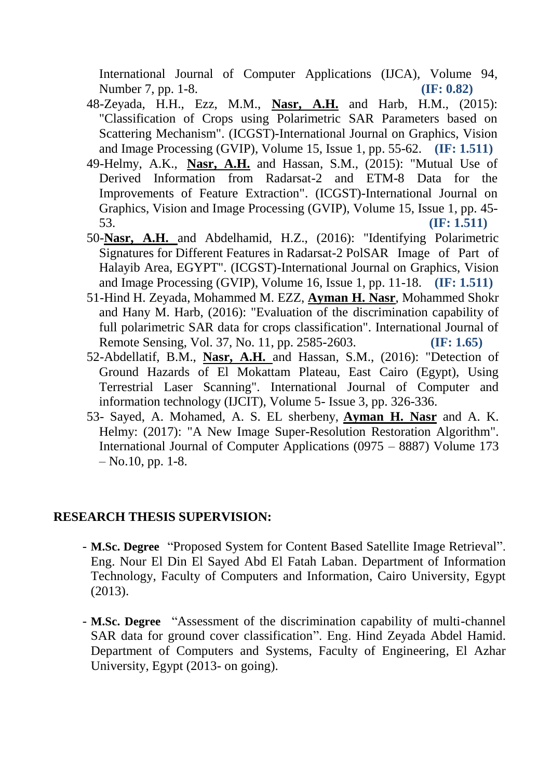International Journal of Computer Applications (IJCA), Volume 94, Number 7, pp. 1-8. **(IF: 0.82)**

- 48-Zeyada, H.H., Ezz, M.M., **Nasr, A.H.** and Harb, H.M., (2015): "Classification of Crops using Polarimetric SAR Parameters based on Scattering Mechanism". (ICGST)-International Journal on Graphics, Vision and Image Processing (GVIP), Volume 15, Issue 1, pp. 55-62. **(IF: 1.511)**
- 49-Helmy, A.K., **Nasr, A.H.** and Hassan, S.M., (2015): "Mutual Use of Derived Information from Radarsat-2 and ETM-8 Data for the Improvements of Feature Extraction". (ICGST)-International Journal on Graphics, Vision and Image Processing (GVIP), Volume 15, Issue 1, pp. 45- 53. **(IF: 1.511)**
- 50-**Nasr, A.H.** and Abdelhamid, H.Z., (2016): "Identifying Polarimetric Signatures for Different Features in Radarsat-2 PolSAR Image of Part of Halayib Area, EGYPT". (ICGST)-International Journal on Graphics, Vision and Image Processing (GVIP), Volume 16, Issue 1, pp. 11-18. **(IF: 1.511)**
- 51-Hind H. Zeyada, Mohammed M. EZZ, **Ayman H. Nasr**, Mohammed Shokr and Hany M. Harb, (2016): "Evaluation of the discrimination capability of full polarimetric SAR data for crops classification". International Journal of Remote Sensing, Vol. 37, No. 11, pp. 2585-2603. **(IF: 1.65)**
- 52-Abdellatif, B.M., **Nasr, A.H.** and Hassan, S.M., (2016): "Detection of Ground Hazards of El Mokattam Plateau, East Cairo (Egypt), Using Terrestrial Laser Scanning". International Journal of Computer and information technology (IJCIT), Volume 5- Issue 3, pp. 326-336.
- 53- Sayed, A. Mohamed, A. S. EL sherbeny, **Ayman H. Nasr** and A. K. Helmy: (2017): "A New Image Super-Resolution Restoration Algorithm". International Journal of Computer Applications (0975 – 8887) Volume 173  $-$  No.10, pp. 1-8.

### **RESEARCH THESIS SUPERVISION:**

- **M.Sc. Degree** "Proposed System for Content Based Satellite Image Retrieval". Eng. Nour El Din El Sayed Abd El Fatah Laban. Department of Information Technology, Faculty of Computers and Information, Cairo University, Egypt (2013).
- **M.Sc. Degree** "Assessment of the discrimination capability of multi-channel SAR data for ground cover classification". Eng. Hind Zeyada Abdel Hamid. Department of Computers and Systems, Faculty of Engineering, El Azhar University, Egypt (2013- on going).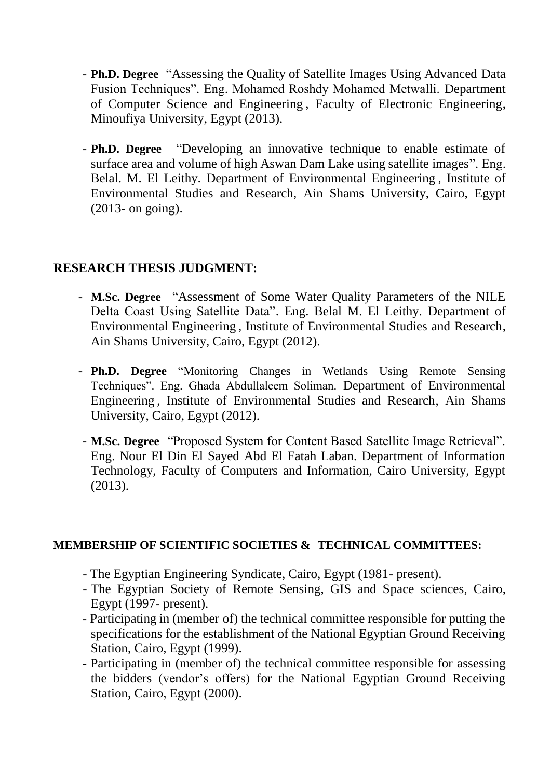- **Ph.D. Degree** "Assessing the Quality of Satellite Images Using Advanced Data Fusion Techniques". Eng. Mohamed Roshdy Mohamed Metwalli. Department of Computer Science and Engineering , Faculty of Electronic Engineering, Minoufiya University, Egypt (2013).
- **Ph.D. Degree** "Developing an innovative technique to enable estimate of surface area and volume of high Aswan Dam Lake using satellite images". Eng. Belal. M. El Leithy. Department of Environmental Engineering , Institute of Environmental Studies and Research, Ain Shams University, Cairo, Egypt (2013- on going).

# **RESEARCH THESIS JUDGMENT:**

- **M.Sc. Degree** "Assessment of Some Water Quality Parameters of the NILE Delta Coast Using Satellite Data". Eng. Belal M. El Leithy. Department of Environmental Engineering , Institute of Environmental Studies and Research, Ain Shams University, Cairo, Egypt (2012).
- **Ph.D. Degree** "Monitoring Changes in Wetlands Using Remote Sensing Techniques". Eng. Ghada Abdullaleem Soliman. Department of Environmental Engineering , Institute of Environmental Studies and Research, Ain Shams University, Cairo, Egypt (2012).
- **M.Sc. Degree** "Proposed System for Content Based Satellite Image Retrieval". Eng. Nour El Din El Sayed Abd El Fatah Laban. Department of Information Technology, Faculty of Computers and Information, Cairo University, Egypt (2013).

#### **MEMBERSHIP OF SCIENTIFIC SOCIETIES & TECHNICAL COMMITTEES:**

- The Egyptian Engineering Syndicate, Cairo, Egypt (1981- present).
- The Egyptian Society of Remote Sensing, GIS and Space sciences, Cairo, Egypt (1997- present).
- Participating in (member of) the technical committee responsible for putting the specifications for the establishment of the National Egyptian Ground Receiving Station, Cairo, Egypt (1999).
- Participating in (member of) the technical committee responsible for assessing the bidders (vendor's offers) for the National Egyptian Ground Receiving Station, Cairo, Egypt (2000).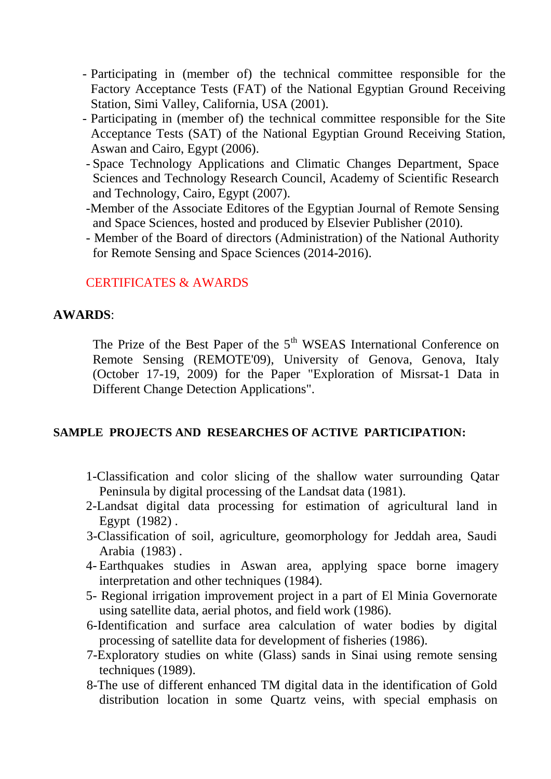- Participating in (member of) the technical committee responsible for the Factory Acceptance Tests (FAT) of the National Egyptian Ground Receiving Station, Simi Valley, California, USA (2001).
- Participating in (member of) the technical committee responsible for the Site Acceptance Tests (SAT) of the National Egyptian Ground Receiving Station, Aswan and Cairo, Egypt (2006).
- Space Technology Applications and Climatic Changes Department, Space Sciences and Technology Research Council, Academy of Scientific Research and Technology, Cairo, Egypt (2007).
- -Member of the Associate Editores of the Egyptian Journal of Remote Sensing and Space Sciences, hosted and produced by Elsevier Publisher (2010).
- Member of the Board of directors (Administration) of the National Authority for Remote Sensing and Space Sciences (2014-2016).

# CERTIFICATES & AWARDS

#### **AWARDS**:

The Prize of the Best Paper of the  $5<sup>th</sup>$  WSEAS International Conference on Remote Sensing (REMOTE'09), University of Genova, Genova, Italy (October 17-19, 2009) for the Paper "Exploration of Misrsat-1 Data in Different Change Detection Applications".

#### **SAMPLE PROJECTS AND RESEARCHES OF ACTIVE PARTICIPATION:**

- 1-Classification and color slicing of the shallow water surrounding Qatar Peninsula by digital processing of the Landsat data (1981).
- 2-Landsat digital data processing for estimation of agricultural land in Egypt (1982) .
- 3-Classification of soil, agriculture, geomorphology for Jeddah area, Saudi Arabia (1983) .
- 4- Earthquakes studies in Aswan area, applying space borne imagery interpretation and other techniques (1984).
- 5- Regional irrigation improvement project in a part of El Minia Governorate using satellite data, aerial photos, and field work (1986).
- 6-Identification and surface area calculation of water bodies by digital processing of satellite data for development of fisheries (1986).
- 7-Exploratory studies on white (Glass) sands in Sinai using remote sensing techniques (1989).
- 8-The use of different enhanced TM digital data in the identification of Gold distribution location in some Quartz veins, with special emphasis on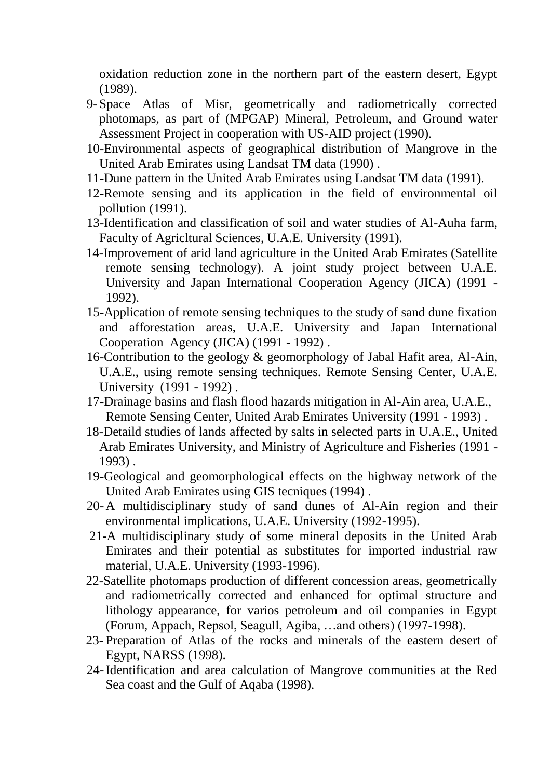oxidation reduction zone in the northern part of the eastern desert, Egypt (1989).

- 9-Space Atlas of Misr, geometrically and radiometrically corrected photomaps, as part of (MPGAP) Mineral, Petroleum, and Ground water Assessment Project in cooperation with US-AID project (1990).
- 10-Environmental aspects of geographical distribution of Mangrove in the United Arab Emirates using Landsat TM data (1990) .
- 11-Dune pattern in the United Arab Emirates using Landsat TM data (1991).
- 12-Remote sensing and its application in the field of environmental oil pollution (1991).
- 13-Identification and classification of soil and water studies of Al-Auha farm, Faculty of Agricltural Sciences, U.A.E. University (1991).
- 14-Improvement of arid land agriculture in the United Arab Emirates (Satellite remote sensing technology). A joint study project between U.A.E. University and Japan International Cooperation Agency (JICA) (1991 - 1992).
- 15-Application of remote sensing techniques to the study of sand dune fixation and afforestation areas, U.A.E. University and Japan International Cooperation Agency (JICA) (1991 - 1992) .
- 16-Contribution to the geology & geomorphology of Jabal Hafit area, Al-Ain, U.A.E., using remote sensing techniques. Remote Sensing Center, U.A.E. University (1991 - 1992) .
- 17-Drainage basins and flash flood hazards mitigation in Al-Ain area, U.A.E., Remote Sensing Center, United Arab Emirates University (1991 - 1993) .
- 18-Detaild studies of lands affected by salts in selected parts in U.A.E., United Arab Emirates University, and Ministry of Agriculture and Fisheries (1991 - 1993) .
- 19-Geological and geomorphological effects on the highway network of the United Arab Emirates using GIS tecniques (1994) .
- 20-A multidisciplinary study of sand dunes of Al-Ain region and their environmental implications, U.A.E. University (1992-1995).
- 21-A multidisciplinary study of some mineral deposits in the United Arab Emirates and their potential as substitutes for imported industrial raw material, U.A.E. University (1993-1996).
- 22-Satellite photomaps production of different concession areas, geometrically and radiometrically corrected and enhanced for optimal structure and lithology appearance, for varios petroleum and oil companies in Egypt (Forum, Appach, Repsol, Seagull, Agiba, …and others) (1997-1998).
- 23- Preparation of Atlas of the rocks and minerals of the eastern desert of Egypt, NARSS (1998).
- 24-Identification and area calculation of Mangrove communities at the Red Sea coast and the Gulf of Aqaba (1998).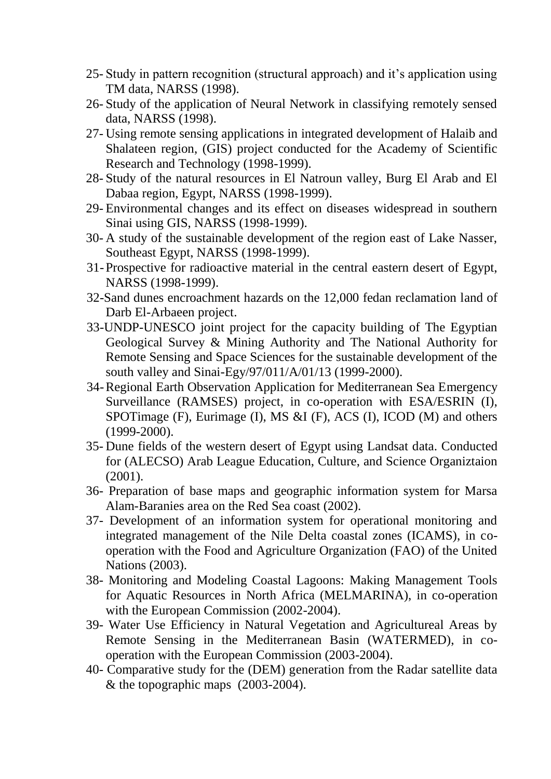- 25- Study in pattern recognition (structural approach) and it's application using TM data, NARSS (1998).
- 26- Study of the application of Neural Network in classifying remotely sensed data, NARSS (1998).
- 27- Using remote sensing applications in integrated development of Halaib and Shalateen region, (GIS) project conducted for the Academy of Scientific Research and Technology (1998-1999).
- 28- Study of the natural resources in El Natroun valley, Burg El Arab and El Dabaa region, Egypt, NARSS (1998-1999).
- 29- Environmental changes and its effect on diseases widespread in southern Sinai using GIS, NARSS (1998-1999).
- 30- A study of the sustainable development of the region east of Lake Nasser, Southeast Egypt, NARSS (1998-1999).
- 31-Prospective for radioactive material in the central eastern desert of Egypt, NARSS (1998-1999).
- 32-Sand dunes encroachment hazards on the 12,000 fedan reclamation land of Darb El-Arbaeen project.
- 33-UNDP-UNESCO joint project for the capacity building of The Egyptian Geological Survey & Mining Authority and The National Authority for Remote Sensing and Space Sciences for the sustainable development of the south valley and Sinai-Egy/97/011/A/01/13 (1999-2000).
- 34-Regional Earth Observation Application for Mediterranean Sea Emergency Surveillance (RAMSES) project, in co-operation with ESA/ESRIN (I), SPOTimage (F), Eurimage (I), MS &I (F), ACS (I), ICOD (M) and others (1999-2000).
- 35- Dune fields of the western desert of Egypt using Landsat data. Conducted for (ALECSO) Arab League Education, Culture, and Science Organiztaion (2001).
- 36- Preparation of base maps and geographic information system for Marsa Alam-Baranies area on the Red Sea coast (2002).
- 37- Development of an information system for operational monitoring and integrated management of the Nile Delta coastal zones (ICAMS), in cooperation with the Food and Agriculture Organization (FAO) of the United Nations (2003).
- 38- Monitoring and Modeling Coastal Lagoons: Making Management Tools for Aquatic Resources in North Africa (MELMARINA), in co-operation with the European Commission (2002-2004).
- 39- Water Use Efficiency in Natural Vegetation and Agricultureal Areas by Remote Sensing in the Mediterranean Basin (WATERMED), in cooperation with the European Commission (2003-2004).
- 40- Comparative study for the (DEM) generation from the Radar satellite data & the topographic maps (2003-2004).